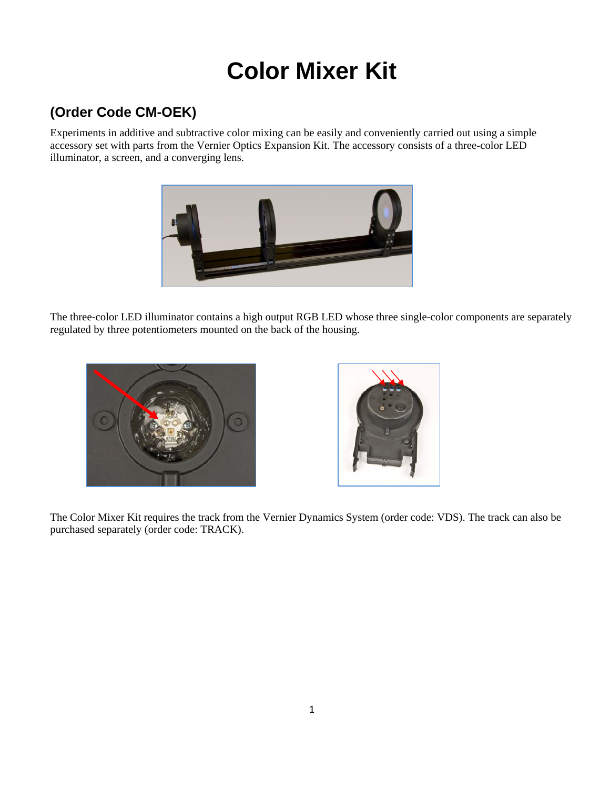# **Color Mixer Kit**

## **(Order Code CM-OEK)**

Experiments in additive and subtractive color mixing can be easily and conveniently carried out using a simple accessory set with parts from the Vernier Optics Expansion Kit. The accessory consists of a three-color LED illuminator, a screen, and a converging lens.



The three-color LED illuminator contains a high output RGB LED whose three single-color components are separately regulated by three potentiometers mounted on the back of the housing.





The Color Mixer Kit requires the track from the Vernier Dynamics System (order code: VDS). The track can also be purchased separately (order code: TRACK).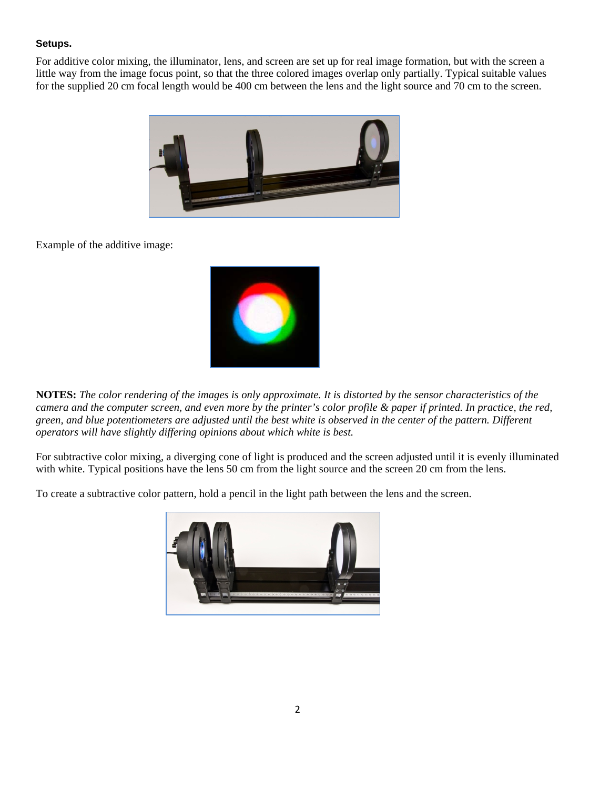### **Setups.**

For additive color mixing, the illuminator, lens, and screen are set up for real image formation, but with the screen a little way from the image focus point, so that the three colored images overlap only partially. Typical suitable values for the supplied 20 cm focal length would be 400 cm between the lens and the light source and 70 cm to the screen.



Example of the additive image:



**NOTES:** *The color rendering of the images is only approximate. It is distorted by the sensor characteristics of the camera and the computer screen, and even more by the printer's color profile & paper if printed. In practice, the red, green, and blue potentiometers are adjusted until the best white is observed in the center of the pattern. Different operators will have slightly differing opinions about which white is best.* 

For subtractive color mixing, a diverging cone of light is produced and the screen adjusted until it is evenly illuminated with white. Typical positions have the lens 50 cm from the light source and the screen 20 cm from the lens.

To create a subtractive color pattern, hold a pencil in the light path between the lens and the screen.

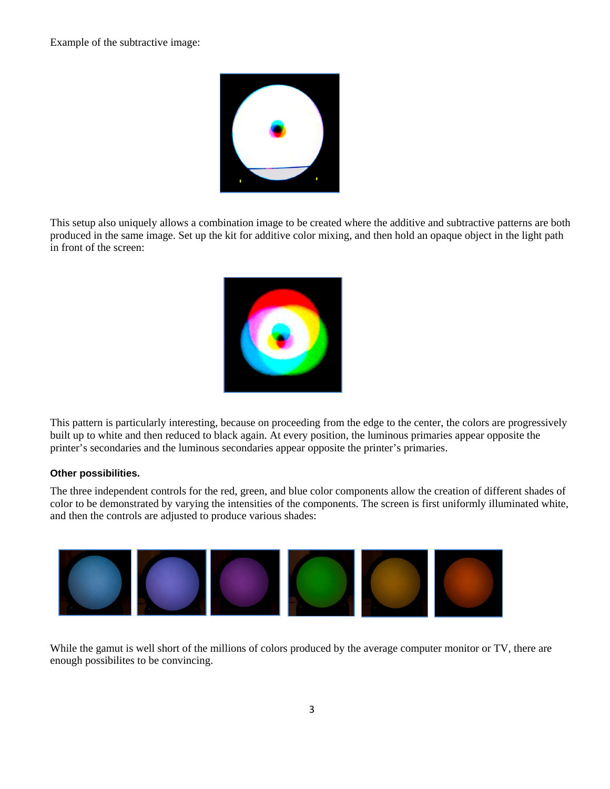Example of the subtractive image:



This setup also uniquely allows a combination image to be created where the additive and subtractive patterns are both produced in the same image. Set up the kit for additive color mixing, and then hold an opaque object in the light path in front of the screen:



This pattern is particularly interesting, because on proceeding from the edge to the center, the colors are progressively built up to white and then reduced to black again. At every position, the luminous primaries appear opposite the printer's secondaries and the luminous secondaries appear opposite the printer's primaries.

### **Other possibilities.**

The three independent controls for the red, green, and blue color components allow the creation of different shades of color to be demonstrated by varying the intensities of the components. The screen is first uniformly illuminated white, and then the controls are adjusted to produce various shades:



While the gamut is well short of the millions of colors produced by the average computer monitor or TV, there are enough possibilites to be convincing.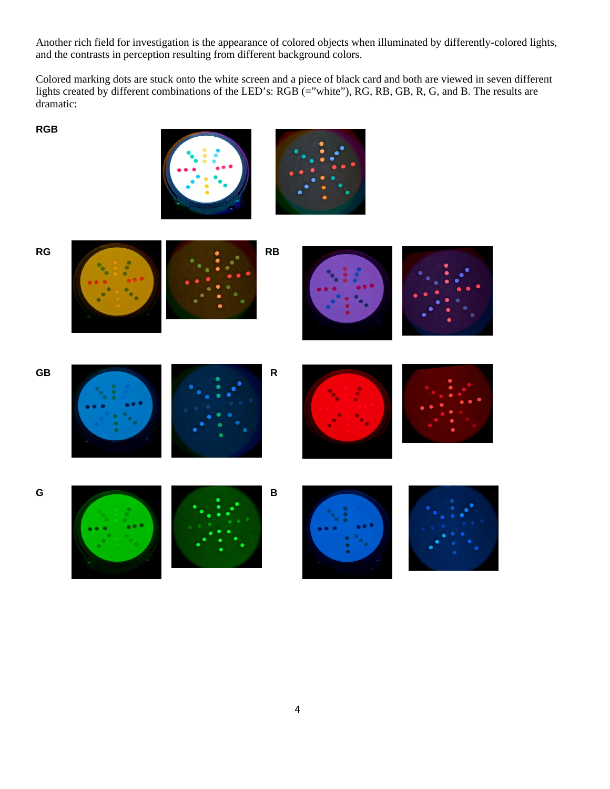Another rich field for investigation is the appearance of colored objects when illuminated by differently-colored lights, and the contrasts in perception resulting from different background colors.

Colored marking dots are stuck onto the white screen and a piece of black card and both are viewed in seven different lights created by different combinations of the LED's: RGB (="white"), RG, RB, GB, R, G, and B. The results are dramatic:

#### **RGB**